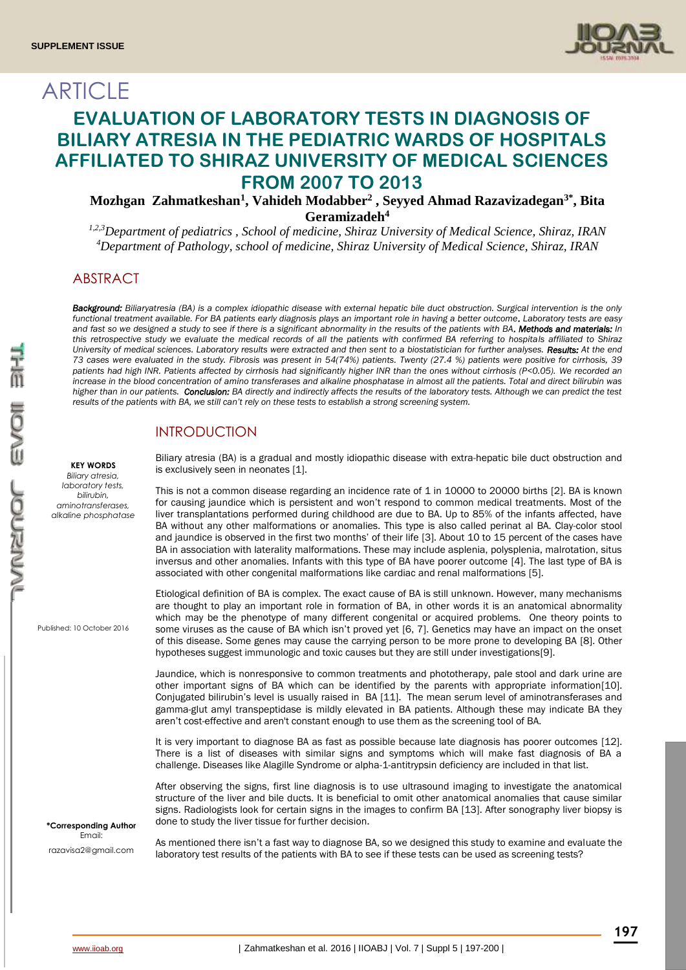**ARTICLE** 



# **EVALUATION OF LABORATORY TESTS IN DIAGNOSIS OF BILIARY ATRESIA IN THE PEDIATRIC WARDS OF HOSPITALS AFFILIATED TO SHIRAZ UNIVERSITY OF MEDICAL SCIENCES FROM 2007 TO 2013**

**Mozhgan Zahmatkeshan<sup>1</sup> , Vahideh Modabber<sup>2</sup> , Seyyed Ahmad Razavizadegan3\* , Bita Geramizadeh<sup>4</sup>**

*1,2,3Department of pediatrics , School of medicine, Shiraz University of Medical Science, Shiraz, IRAN <sup>4</sup>Department of Pathology, school of medicine, Shiraz University of Medical Science, Shiraz, IRAN*

# ABSTRACT

*Background: Biliaryatresia (BA) is a complex idiopathic disease with external hepatic bile duct obstruction. Surgical intervention is the only functional treatment available. For BA patients early diagnosis plays an important role in having a better outcome. Laboratory tests are easy and fast so we designed a study to see if there is a significant abnormality in the results of the patients with BA. Methods and materials: In this retrospective study we evaluate the medical records of all the patients with confirmed BA referring to hospitals affiliated to Shiraz University of medical sciences. Laboratory results were extracted and then sent to a biostatistician for further analyses. Results: At the end 73 cases were evaluated in the study. Fibrosis was present in 54(74%) patients. Twenty (27.4 %) patients were positive for cirrhosis, 39 patients had high INR. Patients affected by cirrhosis had significantly higher INR than the ones without cirrhosis (P<0.05). We recorded an increase in the blood concentration of amino transferases and alkaline phosphatase in almost all the patients. Total and direct bilirubin was*  higher than in our patients. Conclusion: BA directly and indirectly affects the results of the laboratory tests. Although we can predict the test *results of the patients with BA, we still can't rely on these tests to establish a strong screening system.* 

# INTRODUCTION

Biliary atresia (BA) is a gradual and mostly idiopathic disease with extra-hepatic bile duct obstruction and is exclusively seen in neonates [1].

This is not a common disease regarding an incidence rate of 1 in 10000 to 20000 births [2]. BA is known for causing jaundice which is persistent and won't respond to common medical treatments. Most of the liver transplantations performed during childhood are due to BA. Up to 85% of the infants affected, have BA without any other malformations or anomalies. This type is also called perinat al BA. Clay-color stool and jaundice is observed in the first two months' of their life [3]. About 10 to 15 percent of the cases have BA in association with laterality malformations. These may include asplenia, polysplenia, malrotation, situs inversus and other anomalies. Infants with this type of BA have poorer outcome [4]. The last type of BA is associated with other congenital malformations like cardiac and renal malformations [5].

Etiological definition of BA is complex. The exact cause of BA is still unknown. However, many mechanisms are thought to play an important role in formation of BA, in other words it is an anatomical abnormality which may be the phenotype of many different congenital or acquired problems. One theory points to some viruses as the cause of BA which isn't proved yet [6, 7]. Genetics may have an impact on the onset of this disease. Some genes may cause the carrying person to be more prone to developing BA [8]. Other hypotheses suggest immunologic and toxic causes but they are still under investigations[9].

Jaundice, which is nonresponsive to common treatments and phototherapy, pale stool and dark urine are other important signs of BA which can be identified by the parents with appropriate information[10]. Conjugated bilirubin's level is usually raised in BA [11]. The mean serum level of aminotransferases and gamma-glut amyl transpeptidase is mildly elevated in BA patients. Although these may indicate BA they aren't cost-effective and aren't constant enough to use them as the screening tool of BA.

It is very important to diagnose BA as fast as possible because late diagnosis has poorer outcomes [12]. There is a list of diseases with similar signs and symptoms which will make fast diagnosis of BA a challenge. Diseases like Alagille Syndrome or alpha-1-antitrypsin deficiency are included in that list.

After observing the signs, first line diagnosis is to use ultrasound imaging to investigate the anatomical structure of the liver and bile ducts. It is beneficial to omit other anatomical anomalies that cause similar signs. Radiologists look for certain signs in the images to confirm BA [13]. After sonography liver biopsy is done to study the liver tissue for further decision.

As mentioned there isn't a fast way to diagnose BA, so we designed this study to examine and evaluate the laboratory test results of the patients with BA to see if these tests can be used as screening tests?

Published: 10 October 2016

**KEY WORDS** *Biliary atresia, laboratory tests, bilirubin, aminotransferases, alkaline phosphatase*

**\*Corresponding Author** Email: razavisa2@gmail.com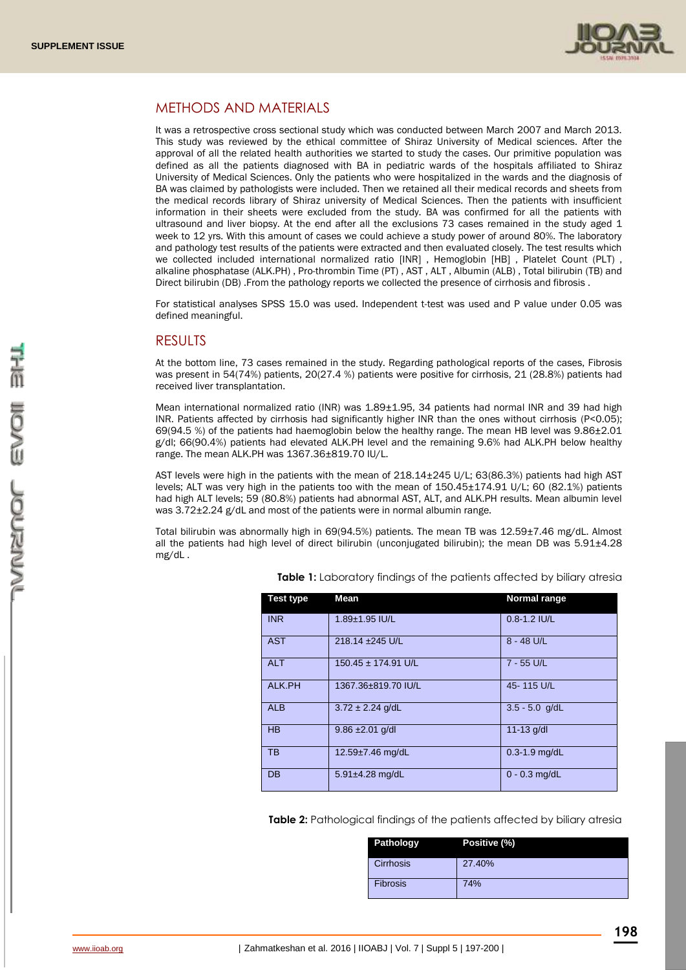

### METHODS AND MATERIALS

It was a retrospective cross sectional study which was conducted between March 2007 and March 2013. This study was reviewed by the ethical committee of Shiraz University of Medical sciences. After the approval of all the related health authorities we started to study the cases. Our primitive population was defined as all the patients diagnosed with BA in pediatric wards of the hospitals affiliated to Shiraz University of Medical Sciences. Only the patients who were hospitalized in the wards and the diagnosis of BA was claimed by pathologists were included. Then we retained all their medical records and sheets from the medical records library of Shiraz university of Medical Sciences. Then the patients with insufficient information in their sheets were excluded from the study. BA was confirmed for all the patients with ultrasound and liver biopsy. At the end after all the exclusions 73 cases remained in the study aged 1 week to 12 yrs. With this amount of cases we could achieve a study power of around 80%. The laboratory and pathology test results of the patients were extracted and then evaluated closely. The test results which we collected included international normalized ratio [INR] , Hemoglobin [HB] , Platelet Count (PLT) , alkaline phosphatase (ALK.PH) , Pro-thrombin Time (PT) , AST , ALT , Albumin (ALB) , Total bilirubin (TB) and Direct bilirubin (DB) .From the pathology reports we collected the presence of cirrhosis and fibrosis .

For statistical analyses SPSS 15.0 was used. Independent t-test was used and P value under 0.05 was defined meaningful.

### RESULTS

At the bottom line, 73 cases remained in the study. Regarding pathological reports of the cases, Fibrosis was present in 54(74%) patients, 20(27.4 %) patients were positive for cirrhosis, 21 (28.8%) patients had received liver transplantation.

Mean international normalized ratio (INR) was 1.89±1.95, 34 patients had normal INR and 39 had high INR. Patients affected by cirrhosis had significantly higher INR than the ones without cirrhosis (P<0.05); 69(94.5 %) of the patients had haemoglobin below the healthy range. The mean HB level was  $9.86\pm2.01$ g/dl; 66(90.4%) patients had elevated ALK.PH level and the remaining 9.6% had ALK.PH below healthy range. The mean ALK.PH was 1367.36±819.70 IU/L.

AST levels were high in the patients with the mean of 218.14±245 U/L; 63(86.3%) patients had high AST levels; ALT was very high in the patients too with the mean of 150.45±174.91 U/L; 60 (82.1%) patients had high ALT levels; 59 (80.8%) patients had abnormal AST, ALT, and ALK.PH results. Mean albumin level was 3.72±2.24 g/dL and most of the patients were in normal albumin range.

Total bilirubin was abnormally high in 69(94.5%) patients. The mean TB was 12.59±7.46 mg/dL. Almost all the patients had high level of direct bilirubin (unconjugated bilirubin); the mean DB was  $5.91\pm4.28$ mg/dL .

| Test type  | Mean                            | Normal range      |
|------------|---------------------------------|-------------------|
| <b>INR</b> | 1.89±1.95 IU/L                  | 0.8-1.2 IU/L      |
| <b>AST</b> | 218.14 ±245 U/L                 | 8 - 48 U/L        |
| <b>ALT</b> | $150.45 \pm 174.91 \text{ U/L}$ | 7 - 55 U/L        |
| ALK.PH     | 1367.36±819.70 IU/L             | 45-115 U/L        |
| <b>ALB</b> | $3.72 \pm 2.24$ g/dL            | $3.5 - 5.0$ g/dL  |
| <b>HB</b>  | $9.86 \pm 2.01$ g/dl            | $11 - 13$ g/dl    |
| <b>TB</b>  | 12.59±7.46 mg/dL                | $0.3 - 1.9$ mg/dL |
| DB         | $5.91 \pm 4.28$ mg/dL           | $0 - 0.3$ mg/dL   |

**Table 1:** Laboratory findings of the patients affected by biliary atresia

**Table 2:** Pathological findings of the patients affected by biliary atresia

| Pathology       | Positive (%) |
|-----------------|--------------|
| Cirrhosis       | 27.40%       |
| <b>Fibrosis</b> | 74%          |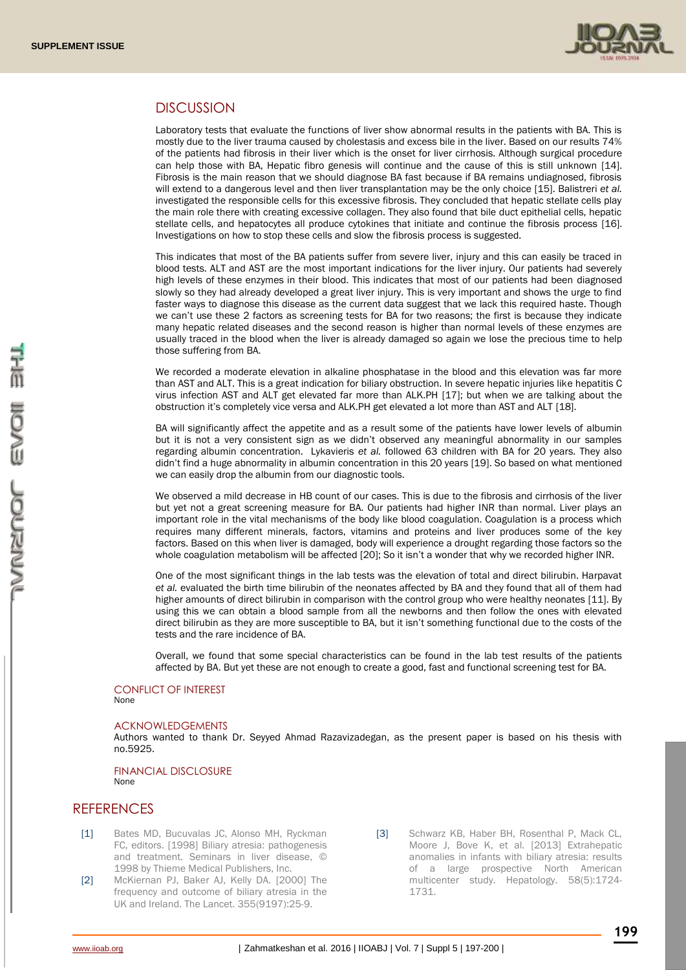

# **DISCUSSION**

Laboratory tests that evaluate the functions of liver show abnormal results in the patients with BA. This is mostly due to the liver trauma caused by cholestasis and excess bile in the liver. Based on our results 74% of the patients had fibrosis in their liver which is the onset for liver cirrhosis. Although surgical procedure can help those with BA, Hepatic fibro genesis will continue and the cause of this is still unknown [14]. Fibrosis is the main reason that we should diagnose BA fast because if BA remains undiagnosed, fibrosis will extend to a dangerous level and then liver transplantation may be the only choice [15]. Balistreri *et al.*  investigated the responsible cells for this excessive fibrosis. They concluded that hepatic stellate cells play the main role there with creating excessive collagen. They also found that bile duct epithelial cells, hepatic stellate cells, and hepatocytes all produce cytokines that initiate and continue the fibrosis process [16]. Investigations on how to stop these cells and slow the fibrosis process is suggested.

This indicates that most of the BA patients suffer from severe liver, injury and this can easily be traced in blood tests. ALT and AST are the most important indications for the liver injury. Our patients had severely high levels of these enzymes in their blood. This indicates that most of our patients had been diagnosed slowly so they had already developed a great liver injury. This is very important and shows the urge to find faster ways to diagnose this disease as the current data suggest that we lack this required haste. Though we can't use these 2 factors as screening tests for BA for two reasons; the first is because they indicate many hepatic related diseases and the second reason is higher than normal levels of these enzymes are usually traced in the blood when the liver is already damaged so again we lose the precious time to help those suffering from BA.

We recorded a moderate elevation in alkaline phosphatase in the blood and this elevation was far more than AST and ALT. This is a great indication for biliary obstruction. In severe hepatic injuries like hepatitis C virus infection AST and ALT get elevated far more than ALK.PH [17]; but when we are talking about the obstruction it's completely vice versa and ALK.PH get elevated a lot more than AST and ALT [18].

BA will significantly affect the appetite and as a result some of the patients have lower levels of albumin but it is not a very consistent sign as we didn't observed any meaningful abnormality in our samples regarding albumin concentration. Lykavieris *et al.* followed 63 children with BA for 20 years. They also didn't find a huge abnormality in albumin concentration in this 20 years [19]. So based on what mentioned we can easily drop the albumin from our diagnostic tools.

We observed a mild decrease in HB count of our cases. This is due to the fibrosis and cirrhosis of the liver but yet not a great screening measure for BA. Our patients had higher INR than normal. Liver plays an important role in the vital mechanisms of the body like blood coagulation. Coagulation is a process which requires many different minerals, factors, vitamins and proteins and liver produces some of the key factors. Based on this when liver is damaged, body will experience a drought regarding those factors so the whole coagulation metabolism will be affected [20]; So it isn't a wonder that why we recorded higher INR.

One of the most significant things in the lab tests was the elevation of total and direct bilirubin. Harpavat *et al.* evaluated the birth time bilirubin of the neonates affected by BA and they found that all of them had higher amounts of direct bilirubin in comparison with the control group who were healthy neonates [11]. By using this we can obtain a blood sample from all the newborns and then follow the ones with elevated direct bilirubin as they are more susceptible to BA, but it isn't something functional due to the costs of the tests and the rare incidence of BA.

Overall, we found that some special characteristics can be found in the lab test results of the patients affected by BA. But yet these are not enough to create a good, fast and functional screening test for BA.

#### CONFLICT OF INTEREST None

#### ACKNOWLEDGEMENTS

Authors wanted to thank Dr. Seyyed Ahmad Razavizadegan, as the present paper is based on his thesis with no.5925.

#### FINANCIAL DISCLOSURE None

### **REFERENCES**

- [1] Bates MD, Bucuvalas JC, Alonso MH, Ryckman FC, editors. [1998] Biliary atresia: pathogenesis and treatment. Seminars in liver disease, © 1998 by Thieme Medical Publishers, Inc.
- [2] McKiernan PJ, Baker AJ, Kelly DA. [2000] The frequency and outcome of biliary atresia in the UK and Ireland. The Lancet. 355(9197):25-9.
- 
- [3] Schwarz KB, Haber BH, Rosenthal P, Mack CL, Moore J, Bove K, et al. [2013] Extrahepatic anomalies in infants with biliary atresia: results of a large prospective North American multicenter study. Hepatology. 58(5):1724- 1731.